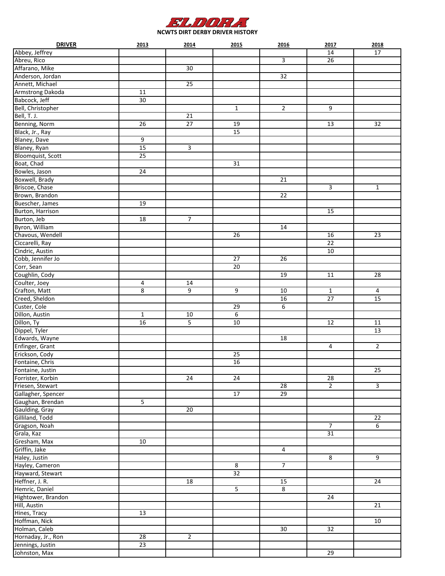

| <b>DRIVER</b>                       | 2013            | 2014            | 2015            | 2016            | 2017                    | 2018            |
|-------------------------------------|-----------------|-----------------|-----------------|-----------------|-------------------------|-----------------|
| Abbey, Jeffrey                      |                 |                 |                 |                 | 14                      | 17              |
|                                     |                 |                 |                 | 3               | 26                      |                 |
| Abreu, Rico<br>Affarano, Mike       |                 | 30              |                 |                 |                         |                 |
| Anderson, Jordan                    |                 |                 |                 |                 |                         |                 |
|                                     |                 |                 |                 | $\overline{32}$ |                         |                 |
| Annett, Michael                     |                 | 25              |                 |                 |                         |                 |
| Armstrong Dakoda                    | $\overline{11}$ |                 |                 |                 |                         |                 |
| Babcock, Jeff                       | 30              |                 |                 |                 |                         |                 |
| Bell, Christopher                   |                 |                 | $\mathbf{1}$    | $\overline{2}$  | 9                       |                 |
| Bell, T. J.                         |                 | 21              |                 |                 |                         |                 |
| Benning, Norm                       | 26              | 27              | 19              |                 | 13                      | $\overline{32}$ |
| Black, Jr., Ray                     |                 |                 | 15              |                 |                         |                 |
|                                     |                 |                 |                 |                 |                         |                 |
| Blaney, Dave                        | 9               |                 |                 |                 |                         |                 |
| Blaney, Ryan<br>Bloomquist, Scott   | 15              | 3               |                 |                 |                         |                 |
|                                     | $\overline{25}$ |                 |                 |                 |                         |                 |
| Boat, Chad                          |                 |                 | $\overline{31}$ |                 |                         |                 |
| Bowles, Jason                       | 24              |                 |                 |                 |                         |                 |
| Boxwell, Brady                      |                 |                 |                 | 21              |                         |                 |
| Briscoe, Chase                      |                 |                 |                 |                 | $\overline{3}$          | 1               |
| Brown, Brandon                      |                 |                 |                 | 22              |                         |                 |
|                                     |                 |                 |                 |                 |                         |                 |
| Buescher, James                     | 19              |                 |                 |                 |                         |                 |
| Burton, Harrison                    |                 |                 |                 |                 | 15                      |                 |
| Burton, Jeb                         | $\overline{18}$ | 7               |                 |                 |                         |                 |
| Byron, William                      |                 |                 |                 | $\overline{14}$ |                         |                 |
|                                     |                 |                 | 26              |                 | 16                      | 23              |
| Chavous, Wendell<br>Ciccarelli, Ray |                 |                 |                 |                 | 22                      |                 |
| Cindric, Austin                     |                 |                 |                 |                 | 10                      |                 |
| Cobb, Jennifer Jo                   |                 |                 | $\overline{27}$ | 26              |                         |                 |
|                                     |                 |                 |                 |                 |                         |                 |
| Corr, Sean                          |                 |                 | $\overline{20}$ |                 |                         |                 |
| Coughlin, Cody                      |                 |                 |                 | 19              | 11                      | $\overline{28}$ |
| Coulter, Joey                       | 4               | $\overline{14}$ |                 |                 |                         |                 |
| Crafton, Matt                       | 8               | 9               | $\overline{9}$  | 10              | $\mathbf{1}$            | 4               |
| Creed, Sheldon                      |                 |                 |                 | 16              | 27                      | 15              |
| Custer, Cole                        |                 |                 | $\overline{29}$ | 6               |                         |                 |
| Dillon, Austin                      | $\mathbf{1}$    | 10              | 6               |                 |                         |                 |
|                                     | 16              | 5               | 10              |                 | $\overline{12}$         | 11              |
| Dillon, Ty<br>Dippel, Tyler         |                 |                 |                 |                 |                         |                 |
|                                     |                 |                 |                 |                 |                         | 13              |
| Edwards, Wayne                      |                 |                 |                 | 18              |                         |                 |
| Enfinger, Grant                     |                 |                 |                 |                 | 4                       | $\overline{2}$  |
| Erickson, Cody                      |                 |                 | 25              |                 |                         |                 |
| Fontaine, Chris                     |                 |                 | 16              |                 |                         |                 |
| Fontaine, Justin                    |                 |                 |                 |                 |                         | 25              |
| Forrister, Korbin                   |                 | 24              | 24              |                 | 28                      |                 |
| Friesen, Stewart                    |                 |                 |                 | $\overline{28}$ | $\overline{2}$          | 3               |
| Gallagher, Spencer                  |                 |                 | $\overline{17}$ | 29              |                         |                 |
|                                     |                 |                 |                 |                 |                         |                 |
| Gaughan, Brendan                    | $\overline{5}$  |                 |                 |                 |                         |                 |
| Gaulding, Gray                      |                 | 20              |                 |                 |                         |                 |
| Gilliland, Todd                     |                 |                 |                 |                 |                         | $\overline{22}$ |
| Gragson, Noah                       |                 |                 |                 |                 | $\overline{7}$          | 6               |
| Grala, Kaz                          |                 |                 |                 |                 | 31                      |                 |
| Gresham, Max                        | 10              |                 |                 |                 |                         |                 |
| Griffin, Jake                       |                 |                 |                 | 4               |                         |                 |
|                                     |                 |                 |                 |                 | $\overline{\mathbf{8}}$ | $\overline{9}$  |
| Haley, Justin<br>Hayley, Cameron    |                 |                 |                 | $\overline{7}$  |                         |                 |
|                                     |                 |                 | $\bf 8$         |                 |                         |                 |
| Hayward, Stewart                    |                 |                 | 32              |                 |                         |                 |
| Heffner, J. R.                      |                 | $\overline{18}$ |                 | 15              |                         | 24              |
| Hemric, Daniel                      |                 |                 | $\overline{5}$  | 8               |                         |                 |
| Hightower, Brandon                  |                 |                 |                 |                 | $\overline{24}$         |                 |
| Hill, Austin                        |                 |                 |                 |                 |                         | $\overline{21}$ |
| Hines, Tracy                        | 13              |                 |                 |                 |                         |                 |
| Hoffman, Nick                       |                 |                 |                 |                 |                         | 10              |
|                                     |                 |                 |                 |                 |                         |                 |
| Holman, Caleb                       |                 |                 |                 | $\overline{30}$ | 32                      |                 |
| Hornaday, Jr., Ron                  | 28              | $\overline{2}$  |                 |                 |                         |                 |
| Jennings, Justin                    | 23              |                 |                 |                 |                         |                 |
| Johnston, Max                       |                 |                 |                 |                 | 29                      |                 |